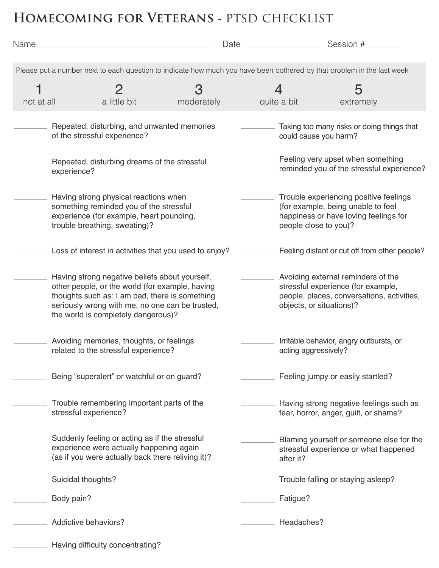## **Homecoming for Veterans** - ptsd checklist

| Name.                                                                                                                  |                                                                                                                                                                                                                                               | Date.      |                                                                                                                                                    |                                                                                                                                                | Session #                                     |  |  |  |  |
|------------------------------------------------------------------------------------------------------------------------|-----------------------------------------------------------------------------------------------------------------------------------------------------------------------------------------------------------------------------------------------|------------|----------------------------------------------------------------------------------------------------------------------------------------------------|------------------------------------------------------------------------------------------------------------------------------------------------|-----------------------------------------------|--|--|--|--|
| Please put a number next to each question to indicate how much you have been bothered by that problem in the last week |                                                                                                                                                                                                                                               |            |                                                                                                                                                    |                                                                                                                                                |                                               |  |  |  |  |
|                                                                                                                        |                                                                                                                                                                                                                                               | З          |                                                                                                                                                    |                                                                                                                                                | 5                                             |  |  |  |  |
| not at all                                                                                                             | a little bit                                                                                                                                                                                                                                  | moderately |                                                                                                                                                    | quite a bit                                                                                                                                    | extremely                                     |  |  |  |  |
|                                                                                                                        | Repeated, disturbing, and unwanted memories<br>of the stressful experience?                                                                                                                                                                   |            |                                                                                                                                                    | could cause you harm?                                                                                                                          | Taking too many risks or doing things that    |  |  |  |  |
|                                                                                                                        | Repeated, disturbing dreams of the stressful<br>experience?                                                                                                                                                                                   |            | Feeling very upset when something<br>reminded you of the stressful experience?                                                                     |                                                                                                                                                |                                               |  |  |  |  |
|                                                                                                                        | Having strong physical reactions when<br>something reminded you of the stressful<br>experience (for example, heart pounding,<br>trouble breathing, sweating)?                                                                                 |            |                                                                                                                                                    | Trouble experiencing positive feelings<br>(for example, being unable to feel<br>happiness or have loving feelings for<br>people close to you)? |                                               |  |  |  |  |
|                                                                                                                        | Loss of interest in activities that you used to enjoy?                                                                                                                                                                                        |            |                                                                                                                                                    |                                                                                                                                                | Feeling distant or cut off from other people? |  |  |  |  |
|                                                                                                                        | Having strong negative beliefs about yourself,<br>other people, or the world (for example, having<br>thoughts such as: I am bad, there is something<br>seriously wrong with me, no one can be trusted,<br>the world is completely dangerous)? |            | Avoiding external reminders of the<br>stressful experience (for example,<br>people, places, conversations, activities,<br>objects, or situations)? |                                                                                                                                                |                                               |  |  |  |  |
|                                                                                                                        | Avoiding memories, thoughts, or feelings<br>related to the stressful experience?<br>Being "superalert" or watchful or on guard?<br>Trouble remembering important parts of the<br>stressful experience?                                        |            | Irritable behavior, angry outbursts, or<br>acting aggressively?                                                                                    |                                                                                                                                                |                                               |  |  |  |  |
|                                                                                                                        |                                                                                                                                                                                                                                               |            |                                                                                                                                                    |                                                                                                                                                | Feeling jumpy or easily startled?             |  |  |  |  |
|                                                                                                                        |                                                                                                                                                                                                                                               |            |                                                                                                                                                    | Having strong negative feelings such as<br>fear, horror, anger, guilt, or shame?                                                               |                                               |  |  |  |  |
|                                                                                                                        | Suddenly feeling or acting as if the stressful<br>experience were actually happening again<br>(as if you were actually back there reliving it)?                                                                                               |            | Blaming yourself or someone else for the<br>stressful experience or what happened<br>after it?                                                     |                                                                                                                                                |                                               |  |  |  |  |
|                                                                                                                        | Suicidal thoughts?                                                                                                                                                                                                                            |            |                                                                                                                                                    |                                                                                                                                                | Trouble falling or staying asleep?            |  |  |  |  |
|                                                                                                                        | Body pain?                                                                                                                                                                                                                                    |            |                                                                                                                                                    | Fatigue?                                                                                                                                       |                                               |  |  |  |  |
|                                                                                                                        | Addictive behaviors?                                                                                                                                                                                                                          |            |                                                                                                                                                    | Headaches?                                                                                                                                     |                                               |  |  |  |  |
|                                                                                                                        | Having difficulty concentrating?                                                                                                                                                                                                              |            |                                                                                                                                                    |                                                                                                                                                |                                               |  |  |  |  |